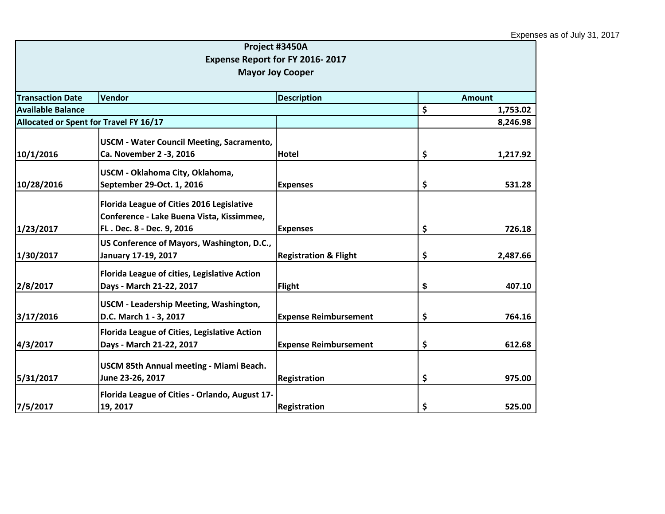|                                                                |                                                                                                                     | Project #3450A<br>Expense Report for FY 2016-2017 |    |               |  |
|----------------------------------------------------------------|---------------------------------------------------------------------------------------------------------------------|---------------------------------------------------|----|---------------|--|
|                                                                |                                                                                                                     | <b>Mayor Joy Cooper</b>                           |    |               |  |
| <b>Transaction Date</b><br><b>Vendor</b><br><b>Description</b> |                                                                                                                     |                                                   |    | <b>Amount</b> |  |
| <b>Available Balance</b>                                       |                                                                                                                     |                                                   | \$ | 1,753.02      |  |
| Allocated or Spent for Travel FY 16/17                         |                                                                                                                     |                                                   |    | 8,246.98      |  |
| 10/1/2016                                                      | <b>USCM - Water Council Meeting, Sacramento,</b><br>Ca. November 2 -3, 2016                                         | Hotel                                             | \$ | 1,217.92      |  |
| 10/28/2016                                                     | USCM - Oklahoma City, Oklahoma,<br>September 29-Oct. 1, 2016                                                        | <b>Expenses</b>                                   | \$ | 531.28        |  |
| 1/23/2017                                                      | Florida League of Cities 2016 Legislative<br>Conference - Lake Buena Vista, Kissimmee,<br>FL. Dec. 8 - Dec. 9, 2016 | <b>Expenses</b>                                   | \$ | 726.18        |  |
| 1/30/2017                                                      | US Conference of Mayors, Washington, D.C.,<br>January 17-19, 2017                                                   | <b>Registration &amp; Flight</b>                  | \$ | 2,487.66      |  |
| 2/8/2017                                                       | Florida League of cities, Legislative Action<br>Days - March 21-22, 2017                                            | <b>Flight</b>                                     | \$ | 407.10        |  |
| 3/17/2016                                                      | USCM - Leadership Meeting, Washington,<br>D.C. March 1 - 3, 2017                                                    | <b>Expense Reimbursement</b>                      | \$ | 764.16        |  |
| 4/3/2017                                                       | Florida League of Cities, Legislative Action<br>Days - March 21-22, 2017                                            | <b>Expense Reimbursement</b>                      | \$ | 612.68        |  |
| 5/31/2017                                                      | USCM 85th Annual meeting - Miami Beach.<br>June 23-26, 2017                                                         | Registration                                      | \$ | 975.00        |  |
| 7/5/2017                                                       | Florida League of Cities - Orlando, August 17-<br>19, 2017                                                          | Registration                                      | \$ | 525.00        |  |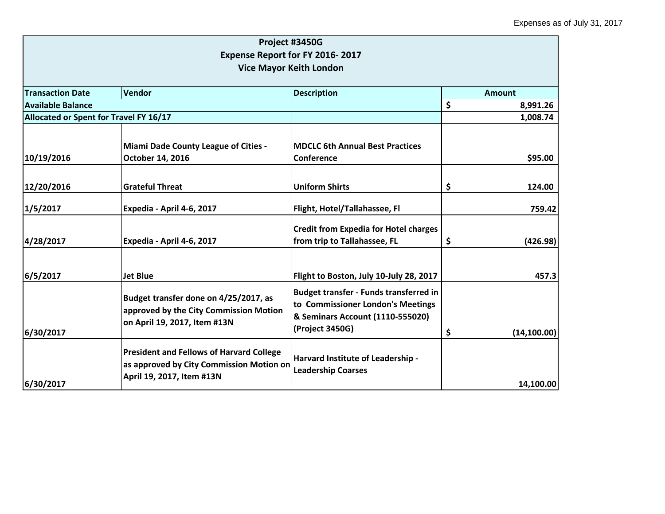|                                        |                                                                                                                          | Project #3450G<br>Expense Report for FY 2016-2017<br><b>Vice Mayor Keith London</b>                                                       |                    |
|----------------------------------------|--------------------------------------------------------------------------------------------------------------------------|-------------------------------------------------------------------------------------------------------------------------------------------|--------------------|
| <b>Transaction Date</b>                | Amount                                                                                                                   |                                                                                                                                           |                    |
| <b>Available Balance</b>               |                                                                                                                          |                                                                                                                                           | \$<br>8,991.26     |
| Allocated or Spent for Travel FY 16/17 |                                                                                                                          |                                                                                                                                           | 1,008.74           |
| 10/19/2016                             | <b>Miami Dade County League of Cities -</b><br>October 14, 2016                                                          | <b>MDCLC 6th Annual Best Practices</b><br>Conference                                                                                      | \$95.00            |
| 12/20/2016                             | <b>Grateful Threat</b>                                                                                                   | <b>Uniform Shirts</b>                                                                                                                     | \$<br>124.00       |
| 1/5/2017                               | Expedia - April 4-6, 2017                                                                                                | Flight, Hotel/Tallahassee, Fl                                                                                                             | 759.42             |
| 4/28/2017                              | Expedia - April 4-6, 2017                                                                                                | <b>Credit from Expedia for Hotel charges</b><br>from trip to Tallahassee, FL                                                              | \$<br>(426.98)     |
| 6/5/2017                               | <b>Jet Blue</b>                                                                                                          | Flight to Boston, July 10-July 28, 2017                                                                                                   | 457.3              |
| 6/30/2017                              | Budget transfer done on 4/25/2017, as<br>approved by the City Commission Motion<br>on April 19, 2017, Item #13N          | <b>Budget transfer - Funds transferred in</b><br>to Commissioner London's Meetings<br>& Seminars Account (1110-555020)<br>(Project 3450G) | \$<br>(14, 100.00) |
| 6/30/2017                              | <b>President and Fellows of Harvard College</b><br>as approved by City Commission Motion on<br>April 19, 2017, Item #13N | Harvard Institute of Leadership -<br><b>Leadership Coarses</b>                                                                            | 14,100.00          |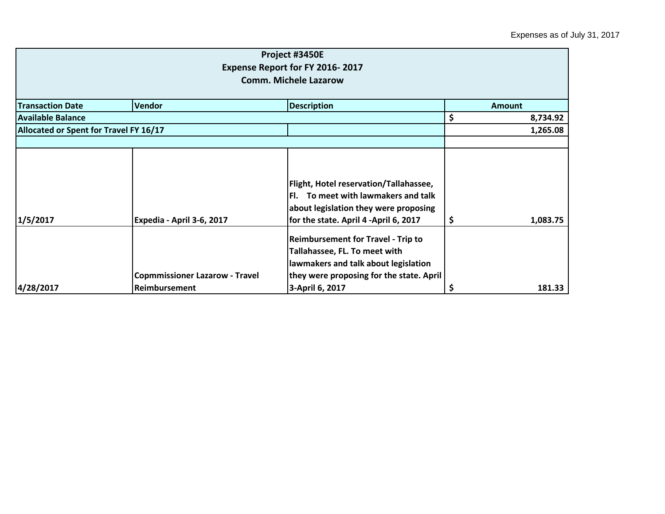|                                        |                                                        | Project #3450E<br><b>Expense Report for FY 2016-2017</b><br><b>Comm. Michele Lazarow</b>                                                                                          |    |               |
|----------------------------------------|--------------------------------------------------------|-----------------------------------------------------------------------------------------------------------------------------------------------------------------------------------|----|---------------|
| <b>Transaction Date</b>                | <b>Vendor</b>                                          | <b>Description</b>                                                                                                                                                                |    | <b>Amount</b> |
| <b>Available Balance</b>               |                                                        |                                                                                                                                                                                   | \$ | 8,734.92      |
| Allocated or Spent for Travel FY 16/17 |                                                        |                                                                                                                                                                                   |    | 1,265.08      |
|                                        |                                                        |                                                                                                                                                                                   |    |               |
| 1/5/2017                               | Expedia - April 3-6, 2017                              | Flight, Hotel reservation/Tallahassee,<br>Fl. To meet with lawmakers and talk<br>about legislation they were proposing<br>for the state. April 4 -April 6, 2017                   | \$ | 1,083.75      |
| 4/28/2017                              | <b>Copmmissioner Lazarow - Travel</b><br>Reimbursement | <b>Reimbursement for Travel - Trip to</b><br>Tallahassee, FL. To meet with<br>lawmakers and talk about legislation<br>they were proposing for the state. April<br>3-April 6, 2017 | Ş  | 181.33        |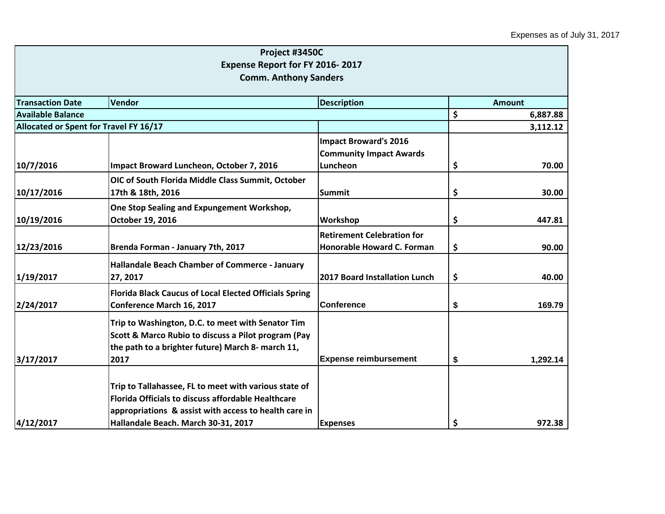|                                                         | Project #3450C                                                                                                     |                                            |    |               |  |
|---------------------------------------------------------|--------------------------------------------------------------------------------------------------------------------|--------------------------------------------|----|---------------|--|
|                                                         | Expense Report for FY 2016-2017                                                                                    |                                            |    |               |  |
|                                                         | <b>Comm. Anthony Sanders</b>                                                                                       |                                            |    |               |  |
|                                                         |                                                                                                                    |                                            |    |               |  |
| <b>Transaction Date</b><br><b>Description</b><br>Vendor |                                                                                                                    |                                            |    | <b>Amount</b> |  |
| <b>Available Balance</b>                                |                                                                                                                    |                                            | \$ | 6,887.88      |  |
| Allocated or Spent for Travel FY 16/17                  |                                                                                                                    |                                            |    | 3,112.12      |  |
|                                                         |                                                                                                                    | <b>Impact Broward's 2016</b>               |    |               |  |
| 10/7/2016                                               | Impact Broward Luncheon, October 7, 2016                                                                           | <b>Community Impact Awards</b><br>Luncheon | \$ | 70.00         |  |
|                                                         | OIC of South Florida Middle Class Summit, October                                                                  |                                            |    |               |  |
| 10/17/2016                                              | 17th & 18th, 2016                                                                                                  | Summit                                     | \$ | 30.00         |  |
|                                                         | One Stop Sealing and Expungement Workshop,                                                                         |                                            |    |               |  |
| 10/19/2016                                              | October 19, 2016                                                                                                   | <b>Workshop</b>                            | \$ | 447.81        |  |
|                                                         |                                                                                                                    | <b>Retirement Celebration for</b>          |    |               |  |
| 12/23/2016                                              | Brenda Forman - January 7th, 2017                                                                                  | Honorable Howard C. Forman                 | \$ | 90.00         |  |
|                                                         | Hallandale Beach Chamber of Commerce - January                                                                     |                                            |    |               |  |
| 1/19/2017                                               | 27, 2017                                                                                                           | 2017 Board Installation Lunch              | \$ | 40.00         |  |
|                                                         | <b>Florida Black Caucus of Local Elected Officials Spring</b>                                                      |                                            |    |               |  |
| 2/24/2017                                               | <b>Conference March 16, 2017</b>                                                                                   | <b>Conference</b>                          | \$ | 169.79        |  |
|                                                         | Trip to Washington, D.C. to meet with Senator Tim                                                                  |                                            |    |               |  |
|                                                         | Scott & Marco Rubio to discuss a Pilot program (Pay                                                                |                                            |    |               |  |
|                                                         | the path to a brighter future) March 8- march 11,                                                                  |                                            |    |               |  |
| 3/17/2017                                               | 2017                                                                                                               | <b>Expense reimbursement</b>               | \$ | 1,292.14      |  |
|                                                         |                                                                                                                    |                                            |    |               |  |
|                                                         | Trip to Tallahassee, FL to meet with various state of                                                              |                                            |    |               |  |
|                                                         | <b>Florida Officials to discuss affordable Healthcare</b><br>appropriations & assist with access to health care in |                                            |    |               |  |
| 4/12/2017                                               | Hallandale Beach. March 30-31, 2017                                                                                | <b>Expenses</b>                            | \$ | 972.38        |  |